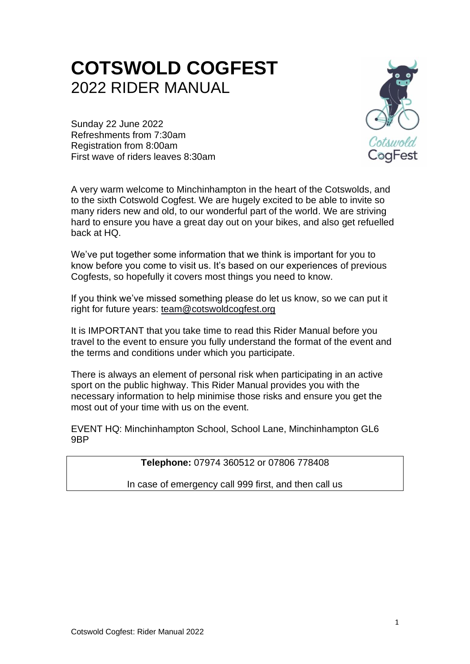# **COTSWOLD COGFEST** 2022 RIDER MANUAL

Sunday 22 June 2022 Refreshments from 7:30am Registration from 8:00am First wave of riders leaves 8:30am

A very warm welcome to Minchinhampton in the heart of the Cotswolds, and to the sixth Cotswold Cogfest. We are hugely excited to be able to invite so many riders new and old, to our wonderful part of the world. We are striving hard to ensure you have a great day out on your bikes, and also get refuelled back at HQ.

We've put together some information that we think is important for you to know before you come to visit us. It's based on our experiences of previous Cogfests, so hopefully it covers most things you need to know.

If you think we've missed something please do let us know, so we can put it right for future years: [team@cotswoldcogfest.org](mailto:team@cotswoldcogfest.org)

It is IMPORTANT that you take time to read this Rider Manual before you travel to the event to ensure you fully understand the format of the event and the terms and conditions under which you participate.

There is always an element of personal risk when participating in an active sport on the public highway. This Rider Manual provides you with the necessary information to help minimise those risks and ensure you get the most out of your time with us on the event.

EVENT HQ: Minchinhampton School, School Lane, Minchinhampton GL6 9BP

# **Telephone:** 07974 360512 or 07806 778408

In case of emergency call 999 first, and then call us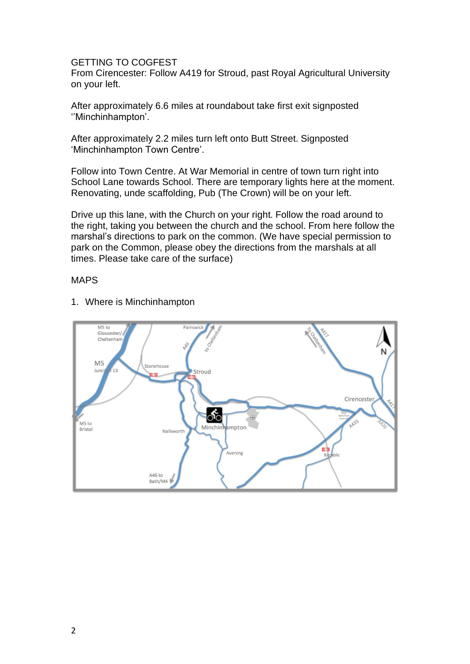#### GETTING TO COGFEST

From Cirencester: Follow A419 for Stroud, past Royal Agricultural University on your left.

After approximately 6.6 miles at roundabout take first exit signposted ''Minchinhampton'.

After approximately 2.2 miles turn left onto Butt Street. Signposted 'Minchinhampton Town Centre'.

Follow into Town Centre. At War Memorial in centre of town turn right into School Lane towards School. There are temporary lights here at the moment. Renovating, unde scaffolding, Pub (The Crown) will be on your left.

Drive up this lane, with the Church on your right. Follow the road around to the right, taking you between the church and the school. From here follow the marshal's directions to park on the common. (We have special permission to park on the Common, please obey the directions from the marshals at all times. Please take care of the surface)

#### MAPS



1. Where is Minchinhampton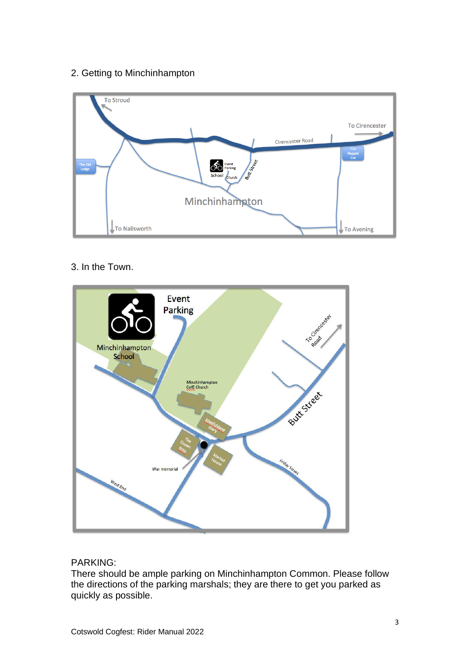# 2. Getting to Minchinhampton



# 3. In the Town.



# PARKING:

There should be ample parking on Minchinhampton Common. Please follow the directions of the parking marshals; they are there to get you parked as quickly as possible.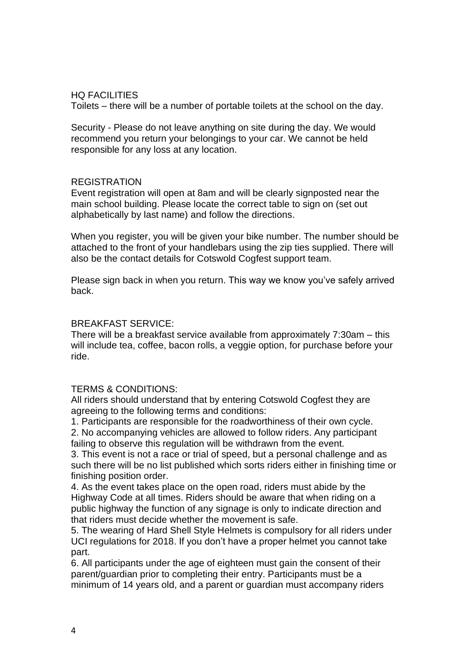# HQ FACILITIES

Toilets – there will be a number of portable toilets at the school on the day.

Security - Please do not leave anything on site during the day. We would recommend you return your belongings to your car. We cannot be held responsible for any loss at any location.

# REGISTRATION

Event registration will open at 8am and will be clearly signposted near the main school building. Please locate the correct table to sign on (set out alphabetically by last name) and follow the directions.

When you register, you will be given your bike number. The number should be attached to the front of your handlebars using the zip ties supplied. There will also be the contact details for Cotswold Cogfest support team.

Please sign back in when you return. This way we know you've safely arrived back.

#### BREAKFAST SERVICE:

There will be a breakfast service available from approximately 7:30am – this will include tea, coffee, bacon rolls, a veggie option, for purchase before your ride.

# TERMS & CONDITIONS:

All riders should understand that by entering Cotswold Cogfest they are agreeing to the following terms and conditions:

1. Participants are responsible for the roadworthiness of their own cycle.

2. No accompanying vehicles are allowed to follow riders. Any participant failing to observe this regulation will be withdrawn from the event.

3. This event is not a race or trial of speed, but a personal challenge and as such there will be no list published which sorts riders either in finishing time or finishing position order.

4. As the event takes place on the open road, riders must abide by the Highway Code at all times. Riders should be aware that when riding on a public highway the function of any signage is only to indicate direction and that riders must decide whether the movement is safe.

5. The wearing of Hard Shell Style Helmets is compulsory for all riders under UCI regulations for 2018. If you don't have a proper helmet you cannot take part.

6. All participants under the age of eighteen must gain the consent of their parent/guardian prior to completing their entry. Participants must be a minimum of 14 years old, and a parent or guardian must accompany riders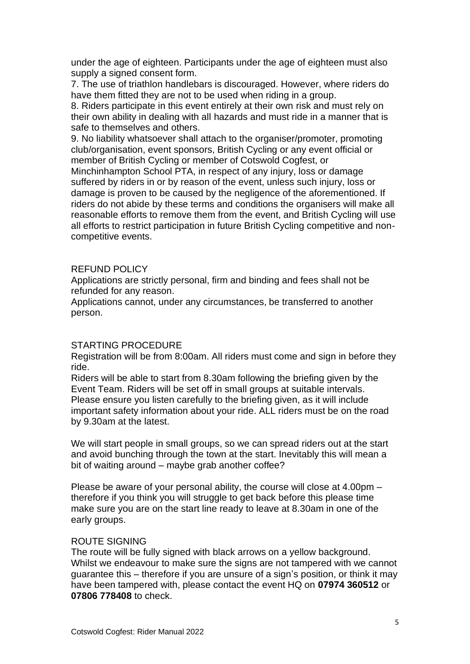under the age of eighteen. Participants under the age of eighteen must also supply a signed consent form.

7. The use of triathlon handlebars is discouraged. However, where riders do have them fitted they are not to be used when riding in a group.

8. Riders participate in this event entirely at their own risk and must rely on their own ability in dealing with all hazards and must ride in a manner that is safe to themselves and others.

9. No liability whatsoever shall attach to the organiser/promoter, promoting club/organisation, event sponsors, British Cycling or any event official or member of British Cycling or member of Cotswold Cogfest, or

Minchinhampton School PTA, in respect of any injury, loss or damage suffered by riders in or by reason of the event, unless such injury, loss or damage is proven to be caused by the negligence of the aforementioned. If riders do not abide by these terms and conditions the organisers will make all reasonable efforts to remove them from the event, and British Cycling will use all efforts to restrict participation in future British Cycling competitive and noncompetitive events.

#### REFUND POLICY

Applications are strictly personal, firm and binding and fees shall not be refunded for any reason.

Applications cannot, under any circumstances, be transferred to another person.

#### STARTING PROCEDURE

Registration will be from 8:00am. All riders must come and sign in before they ride.

Riders will be able to start from 8.30am following the briefing given by the Event Team. Riders will be set off in small groups at suitable intervals. Please ensure you listen carefully to the briefing given, as it will include important safety information about your ride. ALL riders must be on the road by 9.30am at the latest.

We will start people in small groups, so we can spread riders out at the start and avoid bunching through the town at the start. Inevitably this will mean a bit of waiting around – maybe grab another coffee?

Please be aware of your personal ability, the course will close at 4.00pm – therefore if you think you will struggle to get back before this please time make sure you are on the start line ready to leave at 8.30am in one of the early groups.

#### ROUTE SIGNING

The route will be fully signed with black arrows on a yellow background. Whilst we endeavour to make sure the signs are not tampered with we cannot guarantee this – therefore if you are unsure of a sign's position, or think it may have been tampered with, please contact the event HQ on **07974 360512** or **07806 778408** to check.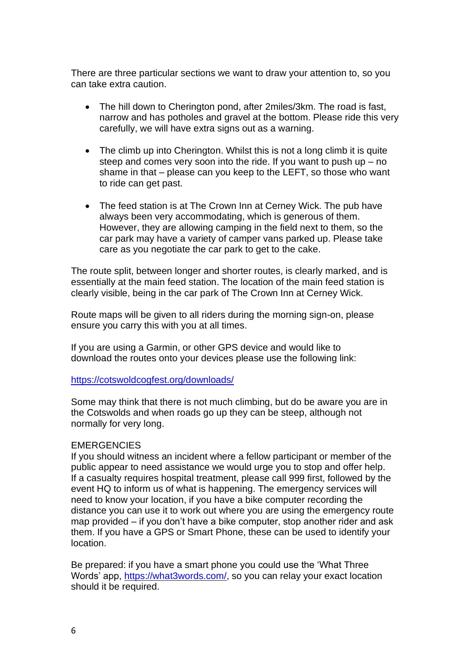There are three particular sections we want to draw your attention to, so you can take extra caution.

- The hill down to Cherington pond, after 2miles/3km. The road is fast, narrow and has potholes and gravel at the bottom. Please ride this very carefully, we will have extra signs out as a warning.
- The climb up into Cherington. Whilst this is not a long climb it is quite steep and comes very soon into the ride. If you want to push up – no shame in that – please can you keep to the LEFT, so those who want to ride can get past.
- The feed station is at The Crown Inn at Cerney Wick. The pub have always been very accommodating, which is generous of them. However, they are allowing camping in the field next to them, so the car park may have a variety of camper vans parked up. Please take care as you negotiate the car park to get to the cake.

The route split, between longer and shorter routes, is clearly marked, and is essentially at the main feed station. The location of the main feed station is clearly visible, being in the car park of The Crown Inn at Cerney Wick.

Route maps will be given to all riders during the morning sign-on, please ensure you carry this with you at all times.

If you are using a Garmin, or other GPS device and would like to download the routes onto your devices please use the following link:

<https://cotswoldcogfest.org/downloads/>

Some may think that there is not much climbing, but do be aware you are in the Cotswolds and when roads go up they can be steep, although not normally for very long.

#### **EMERGENCIES**

If you should witness an incident where a fellow participant or member of the public appear to need assistance we would urge you to stop and offer help. If a casualty requires hospital treatment, please call 999 first, followed by the event HQ to inform us of what is happening. The emergency services will need to know your location, if you have a bike computer recording the distance you can use it to work out where you are using the emergency route map provided – if you don't have a bike computer, stop another rider and ask them. If you have a GPS or Smart Phone, these can be used to identify your location.

Be prepared: if you have a smart phone you could use the 'What Three Words' app, [https://what3words.com/,](https://what3words.com/) so you can relay your exact location should it be required.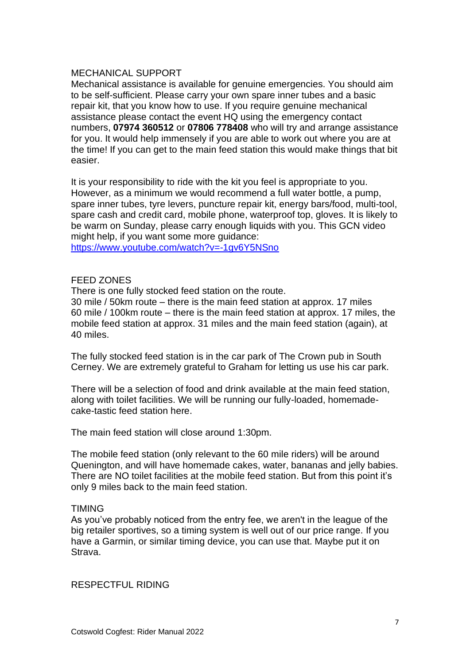#### MECHANICAL SUPPORT

Mechanical assistance is available for genuine emergencies. You should aim to be self-sufficient. Please carry your own spare inner tubes and a basic repair kit, that you know how to use. If you require genuine mechanical assistance please contact the event HQ using the emergency contact numbers, **07974 360512** or **07806 778408** who will try and arrange assistance for you. It would help immensely if you are able to work out where you are at the time! If you can get to the main feed station this would make things that bit easier.

It is your responsibility to ride with the kit you feel is appropriate to you. However, as a minimum we would recommend a full water bottle, a pump, spare inner tubes, tyre levers, puncture repair kit, energy bars/food, multi-tool, spare cash and credit card, mobile phone, waterproof top, gloves. It is likely to be warm on Sunday, please carry enough liquids with you. This GCN video might help, if you want some more guidance:

<https://www.youtube.com/watch?v=-1gv6Y5NSno>

#### FEED ZONES

There is one fully stocked feed station on the route.

30 mile / 50km route – there is the main feed station at approx. 17 miles 60 mile / 100km route – there is the main feed station at approx. 17 miles, the mobile feed station at approx. 31 miles and the main feed station (again), at 40 miles.

The fully stocked feed station is in the car park of The Crown pub in South Cerney. We are extremely grateful to Graham for letting us use his car park.

There will be a selection of food and drink available at the main feed station, along with toilet facilities. We will be running our fully-loaded, homemadecake-tastic feed station here.

The main feed station will close around 1:30pm.

The mobile feed station (only relevant to the 60 mile riders) will be around Quenington, and will have homemade cakes, water, bananas and jelly babies. There are NO toilet facilities at the mobile feed station. But from this point it's only 9 miles back to the main feed station.

#### TIMING

As you've probably noticed from the entry fee, we aren't in the league of the big retailer sportives, so a timing system is well out of our price range. If you have a Garmin, or similar timing device, you can use that. Maybe put it on Strava.

RESPECTFUL RIDING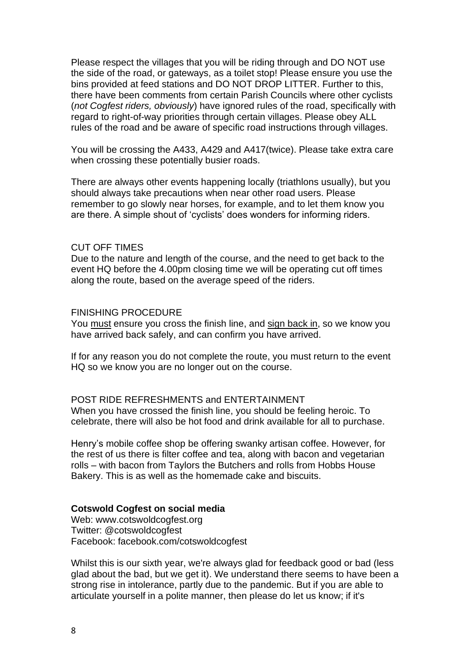Please respect the villages that you will be riding through and DO NOT use the side of the road, or gateways, as a toilet stop! Please ensure you use the bins provided at feed stations and DO NOT DROP LITTER. Further to this, there have been comments from certain Parish Councils where other cyclists (*not Cogfest riders, obviously*) have ignored rules of the road, specifically with regard to right-of-way priorities through certain villages. Please obey ALL rules of the road and be aware of specific road instructions through villages.

You will be crossing the A433, A429 and A417(twice). Please take extra care when crossing these potentially busier roads.

There are always other events happening locally (triathlons usually), but you should always take precautions when near other road users. Please remember to go slowly near horses, for example, and to let them know you are there. A simple shout of 'cyclists' does wonders for informing riders.

#### CUT OFF TIMES

Due to the nature and length of the course, and the need to get back to the event HQ before the 4.00pm closing time we will be operating cut off times along the route, based on the average speed of the riders.

#### FINISHING PROCEDURE

You must ensure you cross the finish line, and sign back in, so we know you have arrived back safely, and can confirm you have arrived.

If for any reason you do not complete the route, you must return to the event HQ so we know you are no longer out on the course.

POST RIDE REFRESHMENTS and ENTERTAINMENT When you have crossed the finish line, you should be feeling heroic. To celebrate, there will also be hot food and drink available for all to purchase.

Henry's mobile coffee shop be offering swanky artisan coffee. However, for the rest of us there is filter coffee and tea, along with bacon and vegetarian rolls – with bacon from Taylors the Butchers and rolls from Hobbs House Bakery. This is as well as the homemade cake and biscuits.

#### **Cotswold Cogfest on social media**

Web: www.cotswoldcogfest.org Twitter: @cotswoldcogfest Facebook: facebook.com/cotswoldcogfest

Whilst this is our sixth year, we're always glad for feedback good or bad (less glad about the bad, but we get it). We understand there seems to have been a strong rise in intolerance, partly due to the pandemic. But if you are able to articulate yourself in a polite manner, then please do let us know; if it's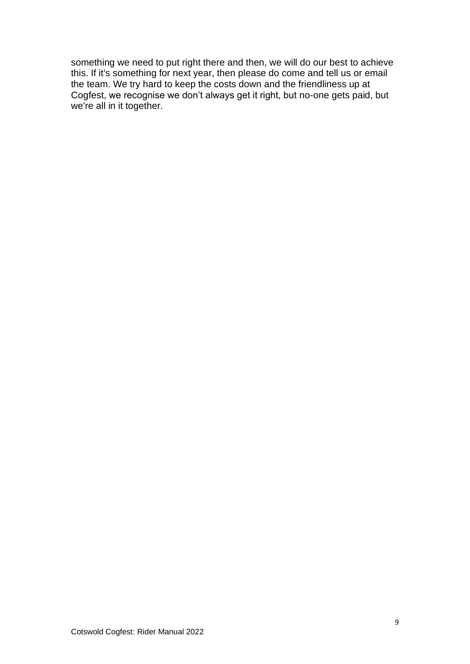something we need to put right there and then, we will do our best to achieve this. If it's something for next year, then please do come and tell us or email the team. We try hard to keep the costs down and the friendliness up at Cogfest, we recognise we don't always get it right, but no-one gets paid, but we're all in it together.